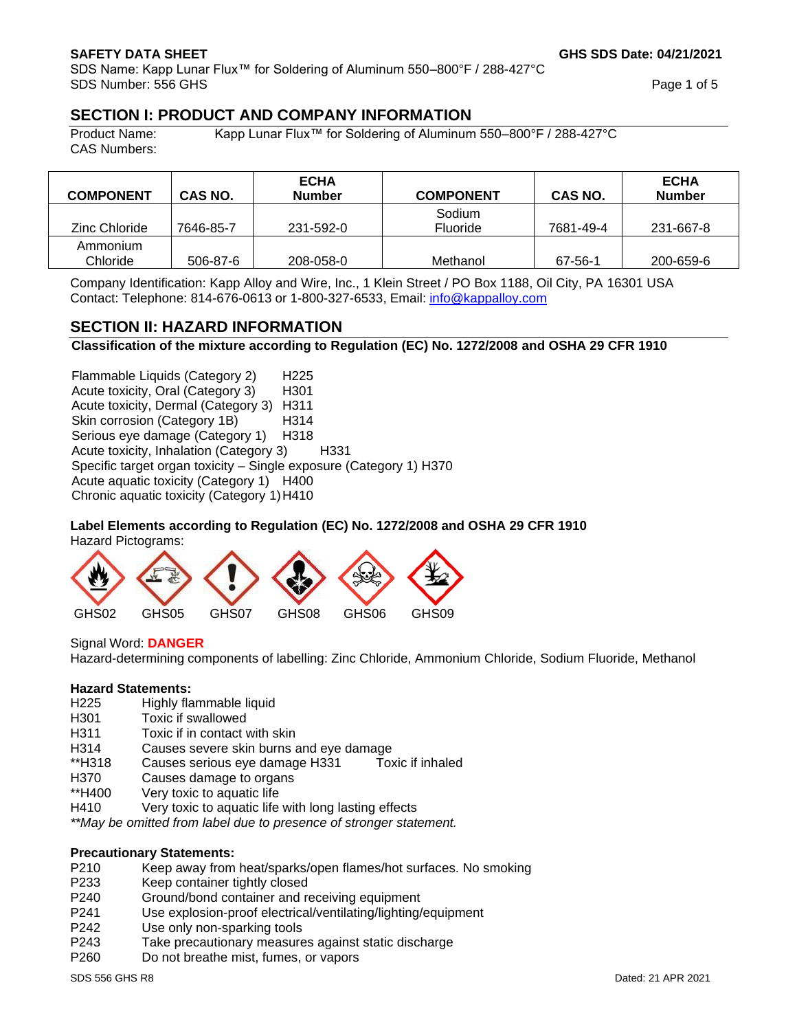SDS Name: Kapp Lunar Flux™ for Soldering of Aluminum 550–800°F / 288-427°C SDS Number: 556 GHS

**GHS SDS Date: 04/21/2021**

Page 1 of 5

# **SECTION I: PRODUCT AND COMPANY INFORMATION**

CAS Numbers:

Product Name: Kapp Lunar Flux™ for Soldering of Aluminum 550–800°F / 288-427°C

| <b>COMPONENT</b>     | CAS NO.   | <b>ECHA</b><br><b>Number</b> | <b>COMPONENT</b>   | CAS NO.   | <b>ECHA</b><br><b>Number</b> |
|----------------------|-----------|------------------------------|--------------------|-----------|------------------------------|
| Zinc Chloride        | 7646-85-7 | 231-592-0                    | Sodium<br>Fluoride | 7681-49-4 | 231-667-8                    |
| Ammonium<br>Chloride | 506-87-6  | 208-058-0                    | Methanol           | 67-56-1   | 200-659-6                    |

Company Identification: Kapp Alloy and Wire, Inc., 1 Klein Street / PO Box 1188, Oil City, PA 16301 USA Contact: Telephone: 814-676-0613 or 1-800-327-6533, Email: [info@kappalloy.com](mailto:info@kappalloy.com)

# **SECTION II: HAZARD INFORMATION**

**Classification of the mixture according to Regulation (EC) No. 1272/2008 and OSHA 29 CFR 1910**

Flammable Liquids (Category 2) H225 Acute toxicity, Oral (Category 3) H301 Acute toxicity, Dermal (Category 3) H311 Skin corrosion (Category 1B) H314 Serious eye damage (Category 1) H318 Acute toxicity, Inhalation (Category 3) H331 Specific target organ toxicity – Single exposure (Category 1) H370 Acute aquatic toxicity (Category 1) H400 Chronic aquatic toxicity (Category 1)H410

## **Label Elements according to Regulation (EC) No. 1272/2008 and OSHA 29 CFR 1910**

Hazard Pictograms:



Signal Word: **DANGER** Hazard-determining components of labelling: Zinc Chloride, Ammonium Chloride, Sodium Fluoride, Methanol

## **Hazard Statements:**

- H225 Highly flammable liquid
- H301 Toxic if swallowed
- H311 Toxic if in contact with skin
- H314 Causes severe skin burns and eye damage
- \*\*H318 Causes serious eye damage H331 Toxic if inhaled
- H370 Causes damage to organs
- \*\*H400 Very toxic to aquatic life
- H410 Very toxic to aquatic life with long lasting effects

*\*\*May be omitted from label due to presence of stronger statement.*

# **Precautionary Statements:**

- P210 Keep away from heat/sparks/open flames/hot surfaces. No smoking
- P233 Keep container tightly closed
- P240 Ground/bond container and receiving equipment
- P241 Use explosion-proof electrical/ventilating/lighting/equipment
- P242 Use only non-sparking tools
- P243 Take precautionary measures against static discharge
- P260 Do not breathe mist, fumes, or vapors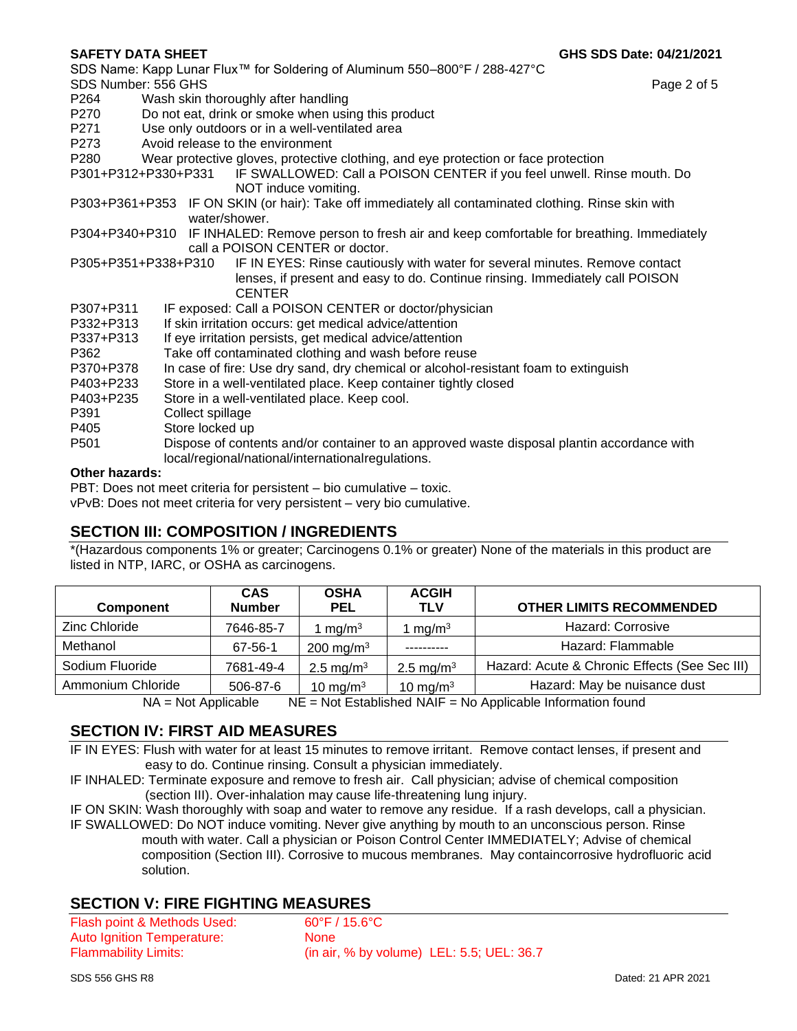SDS Name: Kapp Lunar Flux™ for Soldering of Aluminum 550–800°F / 288-427°C SDS Number: 556 GHS

Page 2 of 5

- P264 Wash skin thoroughly after handling
- P270 Do not eat, drink or smoke when using this product
- P271 Use only outdoors or in a well-ventilated area
- P273 Avoid release to the environment
- P280 Wear protective gloves, protective clothing, and eye protection or face protection
- P301+P312+P330+P331 IF SWALLOWED: Call a POISON CENTER if you feel unwell. Rinse mouth. Do NOT induce vomiting.
- P303+P361+P353 IF ON SKIN (or hair): Take off immediately all contaminated clothing. Rinse skin with water/shower.
- P304+P340+P310 IF INHALED: Remove person to fresh air and keep comfortable for breathing. Immediately call a POISON CENTER or doctor.
- P305+P351+P338+P310 IF IN EYES: Rinse cautiously with water for several minutes. Remove contact lenses, if present and easy to do. Continue rinsing. Immediately call POISON **CENTER**
- P307+P311 IF exposed: Call a POISON CENTER or doctor/physician
- P332+P313 If skin irritation occurs: get medical advice/attention
- P337+P313 If eye irritation persists, get medical advice/attention
- P362 Take off contaminated clothing and wash before reuse
- P370+P378 In case of fire: Use dry sand, dry chemical or alcohol-resistant foam to extinguish
- P403+P233 Store in a well-ventilated place. Keep container tightly closed
- P403+P235 Store in a well-ventilated place. Keep cool.
- P391 Collect spillage
- P405 Store locked up
- P501 Dispose of contents and/or container to an approved waste disposal plantin accordance with local/regional/national/internationalregulations.

## **Other hazards:**

PBT: Does not meet criteria for persistent – bio cumulative – toxic.

vPvB: Does not meet criteria for very persistent – very bio cumulative.

# **SECTION III: COMPOSITION / INGREDIENTS**

\*(Hazardous components 1% or greater; Carcinogens 0.1% or greater) None of the materials in this product are listed in NTP, IARC, or OSHA as carcinogens.

| <b>Component</b>  | <b>CAS</b><br><b>Number</b> | <b>OSHA</b><br><b>PEL</b> | <b>ACGIH</b><br><b>TLV</b> | <b>OTHER LIMITS RECOMMENDED</b>               |
|-------------------|-----------------------------|---------------------------|----------------------------|-----------------------------------------------|
| Zinc Chloride     | 7646-85-7                   | mq/m <sup>3</sup>         | I mg/m $3$                 | Hazard: Corrosive                             |
| Methanol          | 67-56-1                     | 200 mg/m <sup>3</sup>     |                            | Hazard: Flammable                             |
| Sodium Fluoride   | 7681-49-4                   | 2.5 mg/m <sup>3</sup>     | 2.5 mg/m <sup>3</sup>      | Hazard: Acute & Chronic Effects (See Sec III) |
| Ammonium Chloride | 506-87-6                    | 10 mg/m $3$               | 10 mg/m $3$                | Hazard: May be nuisance dust                  |

 $NA = Not$  Applicable NE = Not Established NAIF = No Applicable Information found

# **SECTION IV: FIRST AID MEASURES**

IF IN EYES: Flush with water for at least 15 minutes to remove irritant. Remove contact lenses, if present and easy to do. Continue rinsing. Consult a physician immediately.

IF INHALED: Terminate exposure and remove to fresh air. Call physician; advise of chemical composition (section III). Over-inhalation may cause life-threatening lung injury.

IF ON SKIN: Wash thoroughly with soap and water to remove any residue. If a rash develops, call a physician. IF SWALLOWED: Do NOT induce vomiting. Never give anything by mouth to an unconscious person. Rinse mouth with water. Call a physician or Poison Control Center IMMEDIATELY; Advise of chemical composition (Section III). Corrosive to mucous membranes. May containcorrosive hydrofluoric acid solution.

# **SECTION V: FIRE FIGHTING MEASURES**

Flash point & Methods Used: 60°F / 15.6°C Auto Ignition Temperature: None Flammability Limits: (in air, % by volume) LEL: 5.5; UEL: 36.7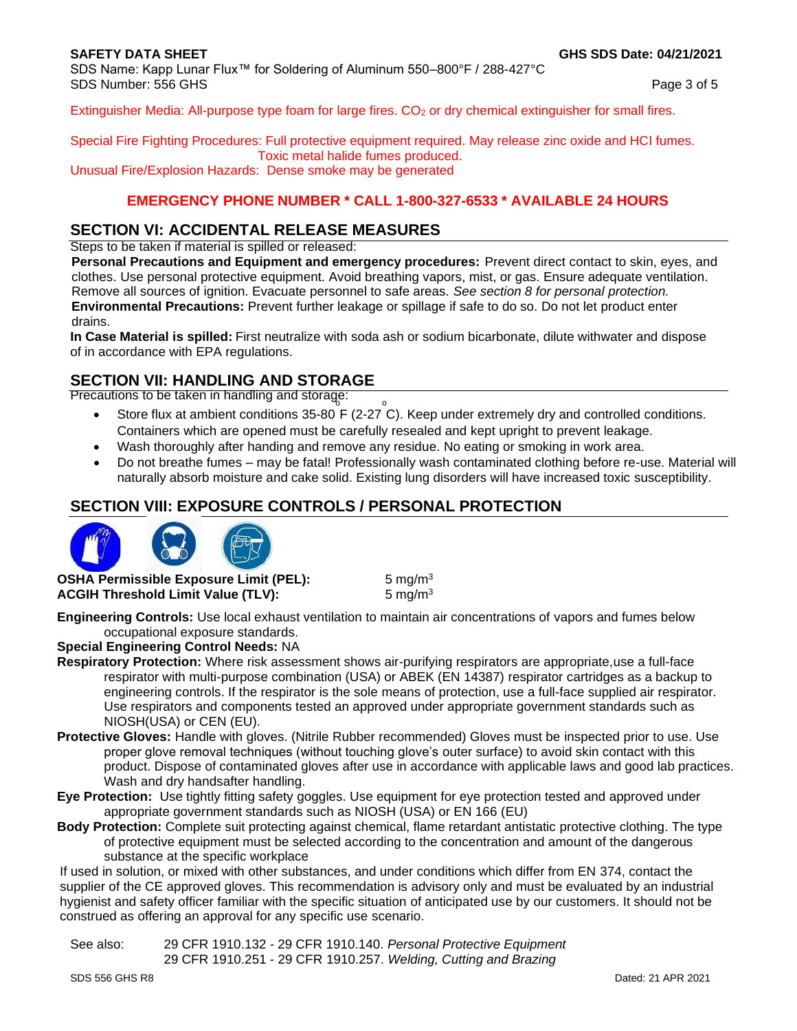SDS Name: Kapp Lunar Flux™ for Soldering of Aluminum 550–800°F / 288-427°C SDS Number: 556 GHS

Page 3 of 5

Extinguisher Media: All-purpose type foam for large fires. CO<sub>2</sub> or dry chemical extinguisher for small fires.

Special Fire Fighting Procedures: Full protective equipment required. May release zinc oxide and HCI fumes. Toxic metal halide fumes produced. Unusual Fire/Explosion Hazards: Dense smoke may be generated

## **EMERGENCY PHONE NUMBER \* CALL 1-800-327-6533 \* AVAILABLE 24 HOURS**

# **SECTION VI: ACCIDENTAL RELEASE MEASURES**

Steps to be taken if material is spilled or released:

**Personal Precautions and Equipment and emergency procedures:** Prevent direct contact to skin, eyes, and clothes. Use personal protective equipment. Avoid breathing vapors, mist, or gas. Ensure adequate ventilation. Remove all sources of ignition. Evacuate personnel to safe areas. *See section 8 for personal protection.* **Environmental Precautions:** Prevent further leakage or spillage if safe to do so. Do not let product enter drains.

**In Case Material is spilled:** First neutralize with soda ash or sodium bicarbonate, dilute withwater and dispose of in accordance with EPA regulations.

## **SECTION VII: HANDLING AND STORAGE**

Precautions to be taken in handling and storage:  $\delta$  o

- Store flux at ambient conditions 35-80 F (2-27 C). Keep under extremely dry and controlled conditions. Containers which are opened must be carefully resealed and kept upright to prevent leakage.
- Wash thoroughly after handing and remove any residue. No eating or smoking in work area.
- Do not breathe fumes may be fatal! Professionally wash contaminated clothing before re-use. Material will naturally absorb moisture and cake solid. Existing lung disorders will have increased toxic susceptibility.

# **SECTION VIII: EXPOSURE CONTROLS / PERSONAL PROTECTION**



**OSHA Permissible Exposure Limit (PEL):** 5 mg/m<sup>3</sup> **ACGIH Threshold Limit Value (TLV):** 5 mg/m<sup>3</sup>

**Engineering Controls:** Use local exhaust ventilation to maintain air concentrations of vapors and fumes below occupational exposure standards.

## **Special Engineering Control Needs:** NA

- **Respiratory Protection:** Where risk assessment shows air-purifying respirators are appropriate,use a full-face respirator with multi-purpose combination (USA) or ABEK (EN 14387) respirator cartridges as a backup to engineering controls. If the respirator is the sole means of protection, use a full-face supplied air respirator. Use respirators and components tested an approved under appropriate government standards such as NIOSH(USA) or CEN (EU).
- **Protective Gloves:** Handle with gloves. (Nitrile Rubber recommended) Gloves must be inspected prior to use. Use proper glove removal techniques (without touching glove's outer surface) to avoid skin contact with this product. Dispose of contaminated gloves after use in accordance with applicable laws and good lab practices. Wash and dry handsafter handling.
- **Eye Protection:** Use tightly fitting safety goggles. Use equipment for eye protection tested and approved under appropriate government standards such as NIOSH (USA) or EN 166 (EU)
- **Body Protection:** Complete suit protecting against chemical, flame retardant antistatic protective clothing. The type of protective equipment must be selected according to the concentration and amount of the dangerous substance at the specific workplace

If used in solution, or mixed with other substances, and under conditions which differ from EN 374, contact the supplier of the CE approved gloves. This recommendation is advisory only and must be evaluated by an industrial hygienist and safety officer familiar with the specific situation of anticipated use by our customers. It should not be construed as offering an approval for any specific use scenario.

See also: 29 CFR 1910.132 - 29 CFR 1910.140. *Personal Protective Equipment* 29 CFR 1910.251 - 29 CFR 1910.257. *Welding, Cutting and Brazing*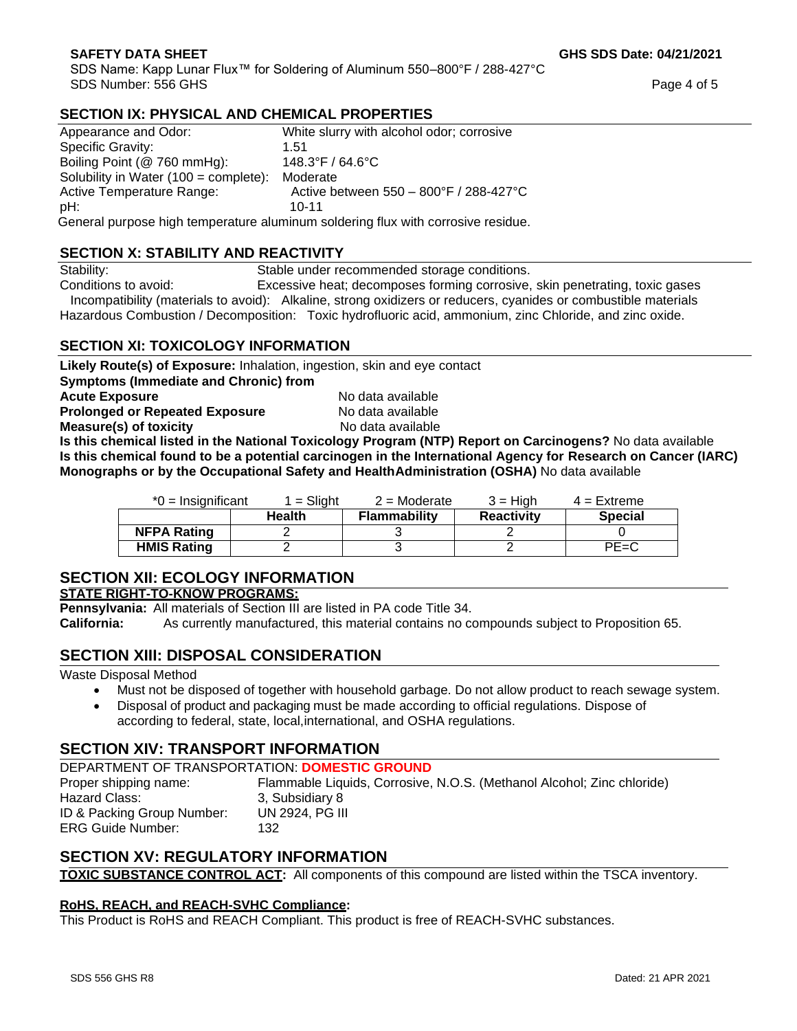SDS Name: Kapp Lunar Flux™ for Soldering of Aluminum 550–800°F / 288-427°C SDS Number: 556 GHS

**GHS SDS Date: 04/21/2021**

Page 4 of 5

## **SECTION IX: PHYSICAL AND CHEMICAL PROPERTIES**

| Appearance and Odor:                            | White slurry with alcohol odor; corrosive                                       |
|-------------------------------------------------|---------------------------------------------------------------------------------|
| Specific Gravity:                               | 1.51                                                                            |
| Boiling Point (@ 760 mmHg):                     | $148.3^{\circ}$ F / 64.6 $^{\circ}$ C                                           |
| Solubility in Water $(100 = \text{complete})$ : | Moderate                                                                        |
| Active Temperature Range:                       | Active between 550 - 800°F / 288-427°C                                          |
| pH:                                             | $10 - 11$                                                                       |
|                                                 | Coneral purpose high temperature aluminum soldering flux with corresive residue |

General purpose high temperature aluminum soldering flux with corrosive residue.

## **SECTION X: STABILITY AND REACTIVITY**

Stability: Stable under recommended storage conditions.

Conditions to avoid: Excessive heat; decomposes forming corrosive, skin penetrating, toxic gases Incompatibility (materials to avoid): Alkaline, strong oxidizers or reducers, cyanides or combustible materials Hazardous Combustion / Decomposition: Toxic hydrofluoric acid, ammonium, zinc Chloride, and zinc oxide.

## **SECTION XI: TOXICOLOGY INFORMATION**

**Likely Route(s) of Exposure:** Inhalation, ingestion, skin and eye contact

**Symptoms (Immediate and Chronic) from**

**Acute Exposure Acute Exposure Acute Exposure No data available** 

**Prolonged or Repeated Exposure** No data available

**Measure(s) of toxicity No data available No data available** 

**Is this chemical listed in the National Toxicology Program (NTP) Report on Carcinogens?** No data available **Is this chemical found to be a potential carcinogen in the International Agency for Research on Cancer (IARC) Monographs or by the Occupational Safety and HealthAdministration (OSHA)** No data available

| $*0 =$ Insignificant | 1 = Sliaht    | $2$ = Moderate      | 3 = Hiah          | $4$ = Extreme  |
|----------------------|---------------|---------------------|-------------------|----------------|
|                      | <b>Health</b> | <b>Flammability</b> | <b>Reactivity</b> | <b>Special</b> |
| <b>NFPA Rating</b>   |               |                     |                   |                |
| <b>HMIS Rating</b>   |               |                     |                   | $PE=C$         |

# **SECTION XII: ECOLOGY INFORMATION**

## **STATE RIGHT-TO-KNOW PROGRAMS:**

**Pennsylvania:** All materials of Section III are listed in PA code Title 34.

**California:** As currently manufactured, this material contains no compounds subject to Proposition 65.

# **SECTION XIII: DISPOSAL CONSIDERATION**

Waste Disposal Method

- Must not be disposed of together with household garbage. Do not allow product to reach sewage system.
- Disposal of product and packaging must be made according to official regulations. Dispose of according to federal, state, local,international, and OSHA regulations.

# **SECTION XIV: TRANSPORT INFORMATION**

DEPARTMENT OF TRANSPORTATION: **DOMESTIC GROUND** Proper shipping name: Flammable Liquids, Corrosive, N.O.S. (Methanol Alcohol; Zinc chloride) Hazard Class: 3, Subsidiary 8 ID & Packing Group Number: UN 2924, PG III ERG Guide Number: 132

# **SECTION XV: REGULATORY INFORMATION**

**TOXIC SUBSTANCE CONTROL ACT:** All components of this compound are listed within the TSCA inventory.

## **RoHS, REACH, and REACH-SVHC Compliance:**

This Product is RoHS and REACH Compliant. This product is free of REACH-SVHC substances.